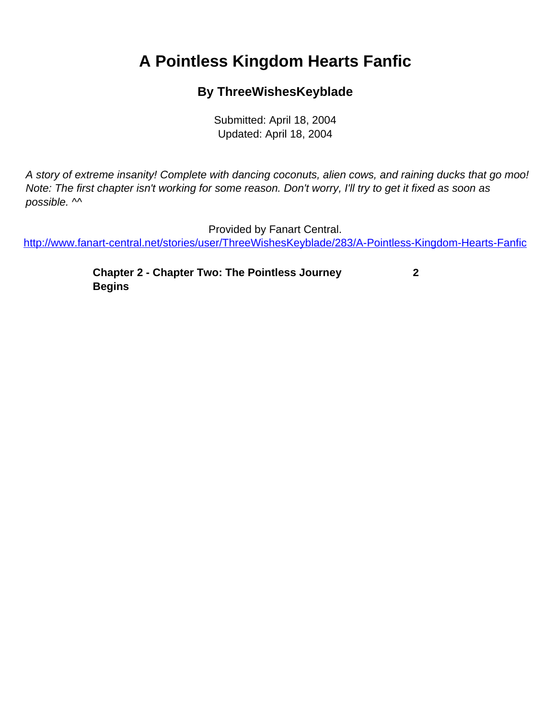## <span id="page-0-0"></span>**A Pointless Kingdom Hearts Fanfic**

## **By ThreeWishesKeyblade**

Submitted: April 18, 2004 Updated: April 18, 2004

A story of extreme insanity! Complete with dancing coconuts, alien cows, and raining ducks that go moo! Note: The first chapter isn't working for some reason. Don't worry, I'll try to get it fixed as soon as  $possible.$   $\sim$ 

Provided by Fanart Central. [http://www.fanart-central.net/stories/user/ThreeWishesKeyblade/283/A-Pointless-Kingdom-Hearts-Fanfic](#page-0-0)

> **[Chapter 2 - Chapter Two: The Pointless Journey](#page-1-0) [Begins](#page-1-0)**

 **[2](#page-1-0)**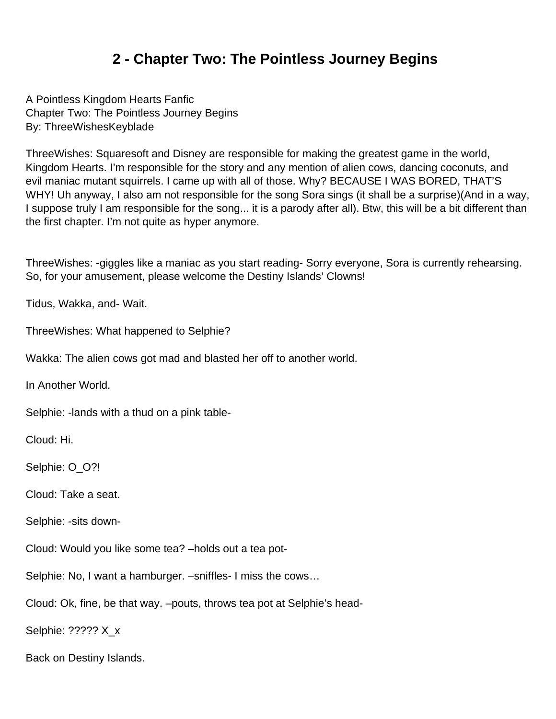## **2 - Chapter Two: The Pointless Journey Begins**

<span id="page-1-0"></span>A Pointless Kingdom Hearts Fanfic Chapter Two: The Pointless Journey Begins By: ThreeWishesKeyblade

ThreeWishes: Squaresoft and Disney are responsible for making the greatest game in the world, Kingdom Hearts. I'm responsible for the story and any mention of alien cows, dancing coconuts, and evil maniac mutant squirrels. I came up with all of those. Why? BECAUSE I WAS BORED, THAT'S WHY! Uh anyway, I also am not responsible for the song Sora sings (it shall be a surprise)(And in a way, I suppose truly I am responsible for the song... it is a parody after all). Btw, this will be a bit different than the first chapter. I'm not quite as hyper anymore.

ThreeWishes: -giggles like a maniac as you start reading- Sorry everyone, Sora is currently rehearsing. So, for your amusement, please welcome the Destiny Islands' Clowns!

Tidus, Wakka, and- Wait.

ThreeWishes: What happened to Selphie?

Wakka: The alien cows got mad and blasted her off to another world.

In Another World.

Selphie: -lands with a thud on a pink table-

Cloud: Hi.

Selphie: O\_O?!

Cloud: Take a seat.

Selphie: -sits down-

Cloud: Would you like some tea? –holds out a tea pot-

Selphie: No, I want a hamburger. –sniffles- I miss the cows…

Cloud: Ok, fine, be that way. –pouts, throws tea pot at Selphie's head-

Selphie: ????? X\_x

Back on Destiny Islands.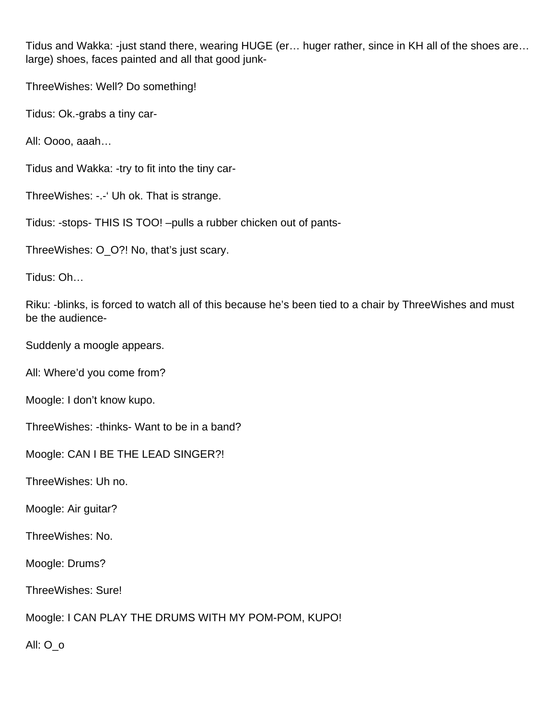Tidus and Wakka: -just stand there, wearing HUGE (er… huger rather, since in KH all of the shoes are… large) shoes, faces painted and all that good junk-

ThreeWishes: Well? Do something!

Tidus: Ok.-grabs a tiny car-

All: Oooo, aaah…

Tidus and Wakka: -try to fit into the tiny car-

ThreeWishes: -.-' Uh ok. That is strange.

Tidus: -stops- THIS IS TOO! –pulls a rubber chicken out of pants-

ThreeWishes: O\_O?! No, that's just scary.

Tidus: Oh…

Riku: -blinks, is forced to watch all of this because he's been tied to a chair by ThreeWishes and must be the audience-

Suddenly a moogle appears.

All: Where'd you come from?

Moogle: I don't know kupo.

ThreeWishes: -thinks- Want to be in a band?

Moogle: CAN I BE THE LEAD SINGER?!

ThreeWishes: Uh no.

Moogle: Air guitar?

ThreeWishes: No.

Moogle: Drums?

ThreeWishes: Sure!

Moogle: I CAN PLAY THE DRUMS WITH MY POM-POM, KUPO!

All: O\_o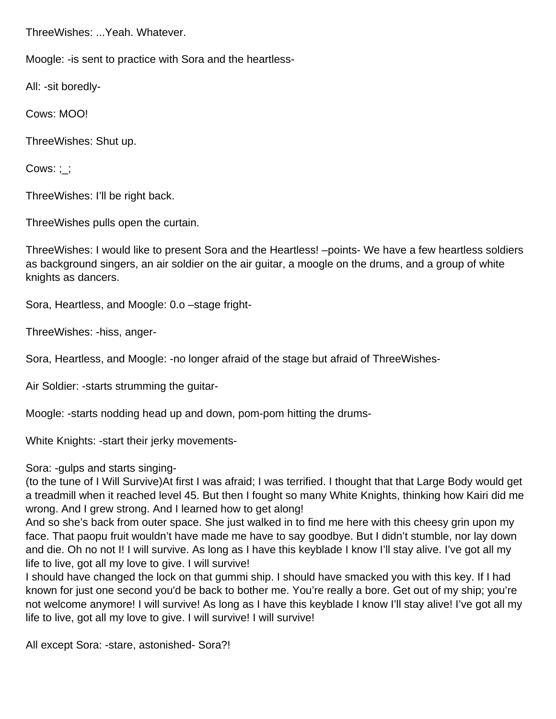ThreeWishes: ...Yeah. Whatever.

Moogle: -is sent to practice with Sora and the heartless-

All: -sit boredly-

Cows: MOO!

ThreeWishes: Shut up.

Cows:  $:$   $\Box$ 

ThreeWishes: I'll be right back.

ThreeWishes pulls open the curtain.

ThreeWishes: I would like to present Sora and the Heartless! –points- We have a few heartless soldiers as background singers, an air soldier on the air guitar, a moogle on the drums, and a group of white knights as dancers.

Sora, Heartless, and Moogle: 0.o –stage fright-

ThreeWishes: -hiss, anger-

Sora, Heartless, and Moogle: -no longer afraid of the stage but afraid of ThreeWishes-

Air Soldier: -starts strumming the guitar-

Moogle: -starts nodding head up and down, pom-pom hitting the drums-

White Knights: -start their jerky movements-

Sora: -gulps and starts singing-

(to the tune of I Will Survive)At first I was afraid; I was terrified. I thought that that Large Body would get a treadmill when it reached level 45. But then I fought so many White Knights, thinking how Kairi did me wrong. And I grew strong. And I learned how to get along!

And so she's back from outer space. She just walked in to find me here with this cheesy grin upon my face. That paopu fruit wouldn't have made me have to say goodbye. But I didn't stumble, nor lay down and die. Oh no not I! I will survive. As long as I have this keyblade I know I'll stay alive. I've got all my life to live, got all my love to give. I will survive!

I should have changed the lock on that gummi ship. I should have smacked you with this key. If I had known for just one second you'd be back to bother me. You're really a bore. Get out of my ship; you're not welcome anymore! I will survive! As long as I have this keyblade I know I'll stay alive! I've got all my life to live, got all my love to give. I will survive! I will survive!

All except Sora: -stare, astonished- Sora?!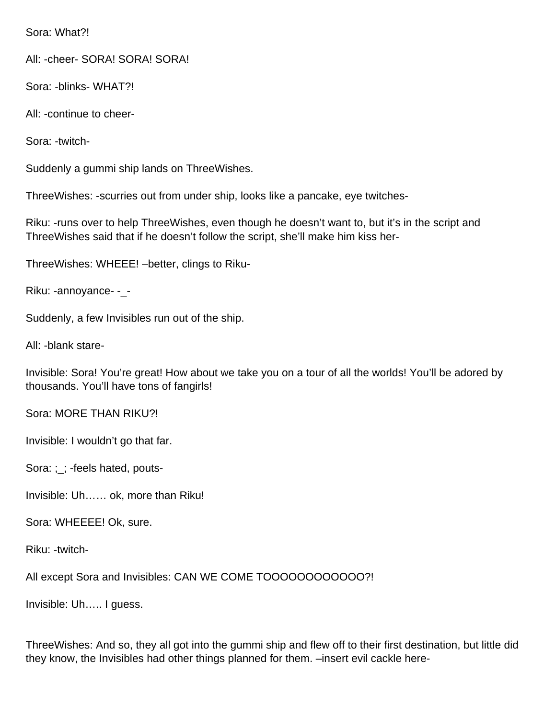Sora: What?!

All: -cheer- SORA! SORA! SORA!

Sora: -blinks- WHAT?!

All: -continue to cheer-

Sora: -twitch-

Suddenly a gummi ship lands on ThreeWishes.

ThreeWishes: -scurries out from under ship, looks like a pancake, eye twitches-

Riku: -runs over to help ThreeWishes, even though he doesn't want to, but it's in the script and ThreeWishes said that if he doesn't follow the script, she'll make him kiss her-

ThreeWishes: WHEEE! –better, clings to Riku-

Riku: -annoyance- -\_-

Suddenly, a few Invisibles run out of the ship.

All: -blank stare-

Invisible: Sora! You're great! How about we take you on a tour of all the worlds! You'll be adored by thousands. You'll have tons of fangirls!

Sora: MORE THAN RIKU?!

Invisible: I wouldn't go that far.

Sora: ;\_; -feels hated, pouts-

Invisible: Uh…… ok, more than Riku!

Sora: WHEEEE! Ok, sure.

Riku: -twitch-

All except Sora and Invisibles: CAN WE COME TOOOOOOOOOOOO?!

Invisible: Uh….. I guess.

ThreeWishes: And so, they all got into the gummi ship and flew off to their first destination, but little did they know, the Invisibles had other things planned for them. –insert evil cackle here-